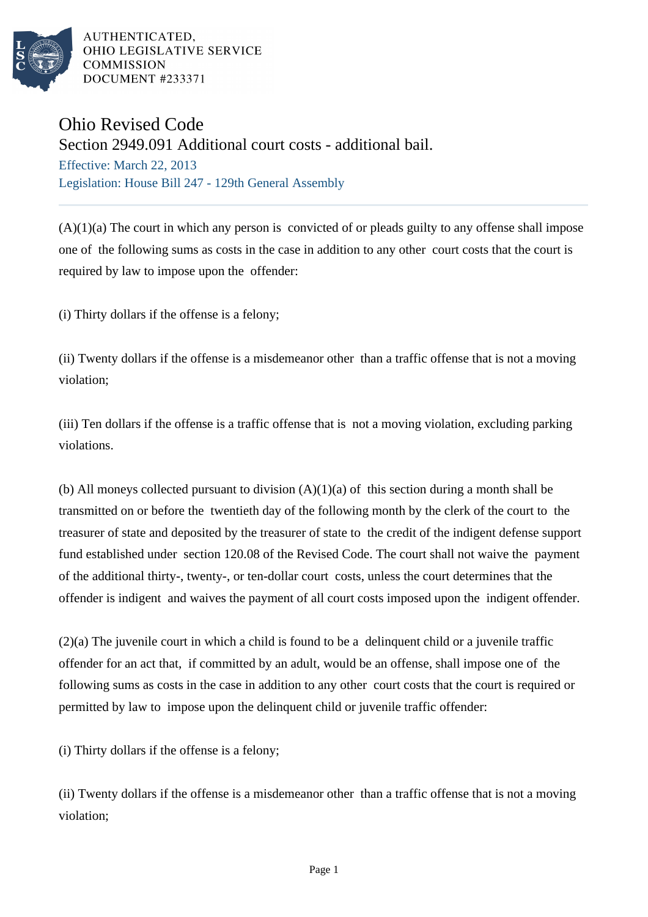

AUTHENTICATED. OHIO LEGISLATIVE SERVICE **COMMISSION DOCUMENT #233371** 

## Ohio Revised Code

Section 2949.091 Additional court costs - additional bail. Effective: March 22, 2013

Legislation: House Bill 247 - 129th General Assembly

 $(A)(1)(a)$  The court in which any person is convicted of or pleads guilty to any offense shall impose one of the following sums as costs in the case in addition to any other court costs that the court is required by law to impose upon the offender:

(i) Thirty dollars if the offense is a felony;

(ii) Twenty dollars if the offense is a misdemeanor other than a traffic offense that is not a moving violation;

(iii) Ten dollars if the offense is a traffic offense that is not a moving violation, excluding parking violations.

(b) All moneys collected pursuant to division  $(A)(1)(a)$  of this section during a month shall be transmitted on or before the twentieth day of the following month by the clerk of the court to the treasurer of state and deposited by the treasurer of state to the credit of the indigent defense support fund established under section 120.08 of the Revised Code. The court shall not waive the payment of the additional thirty-, twenty-, or ten-dollar court costs, unless the court determines that the offender is indigent and waives the payment of all court costs imposed upon the indigent offender.

(2)(a) The juvenile court in which a child is found to be a delinquent child or a juvenile traffic offender for an act that, if committed by an adult, would be an offense, shall impose one of the following sums as costs in the case in addition to any other court costs that the court is required or permitted by law to impose upon the delinquent child or juvenile traffic offender:

(i) Thirty dollars if the offense is a felony;

(ii) Twenty dollars if the offense is a misdemeanor other than a traffic offense that is not a moving violation;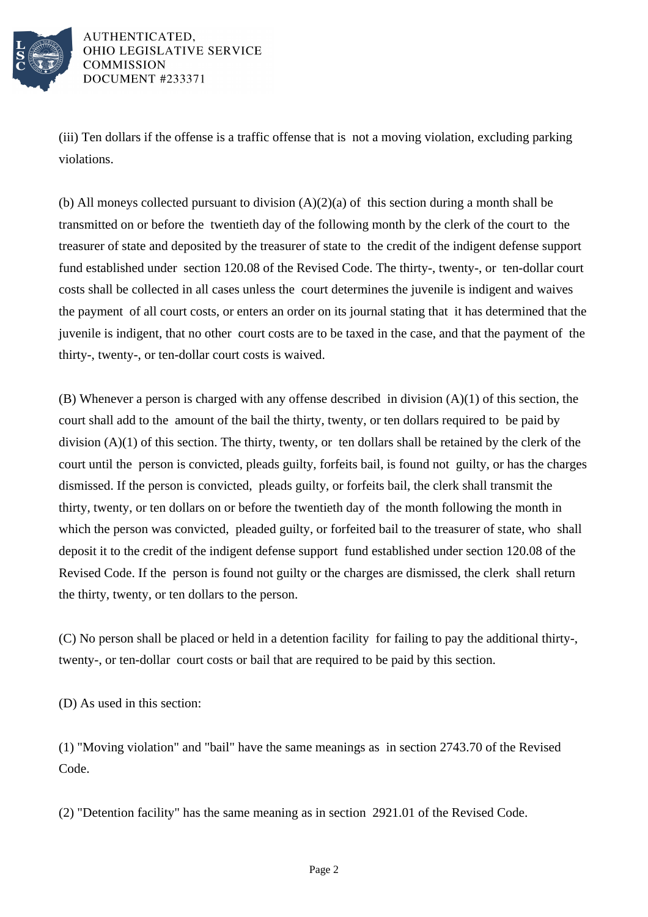

AUTHENTICATED. OHIO LEGISLATIVE SERVICE **COMMISSION DOCUMENT #233371** 

(iii) Ten dollars if the offense is a traffic offense that is not a moving violation, excluding parking violations.

(b) All moneys collected pursuant to division (A)(2)(a) of this section during a month shall be transmitted on or before the twentieth day of the following month by the clerk of the court to the treasurer of state and deposited by the treasurer of state to the credit of the indigent defense support fund established under section 120.08 of the Revised Code. The thirty-, twenty-, or ten-dollar court costs shall be collected in all cases unless the court determines the juvenile is indigent and waives the payment of all court costs, or enters an order on its journal stating that it has determined that the juvenile is indigent, that no other court costs are to be taxed in the case, and that the payment of the thirty-, twenty-, or ten-dollar court costs is waived.

(B) Whenever a person is charged with any offense described in division (A)(1) of this section, the court shall add to the amount of the bail the thirty, twenty, or ten dollars required to be paid by division (A)(1) of this section. The thirty, twenty, or ten dollars shall be retained by the clerk of the court until the person is convicted, pleads guilty, forfeits bail, is found not guilty, or has the charges dismissed. If the person is convicted, pleads guilty, or forfeits bail, the clerk shall transmit the thirty, twenty, or ten dollars on or before the twentieth day of the month following the month in which the person was convicted, pleaded guilty, or forfeited bail to the treasurer of state, who shall deposit it to the credit of the indigent defense support fund established under section 120.08 of the Revised Code. If the person is found not guilty or the charges are dismissed, the clerk shall return the thirty, twenty, or ten dollars to the person.

(C) No person shall be placed or held in a detention facility for failing to pay the additional thirty-, twenty-, or ten-dollar court costs or bail that are required to be paid by this section.

(D) As used in this section:

(1) "Moving violation" and "bail" have the same meanings as in section 2743.70 of the Revised Code.

(2) "Detention facility" has the same meaning as in section 2921.01 of the Revised Code.